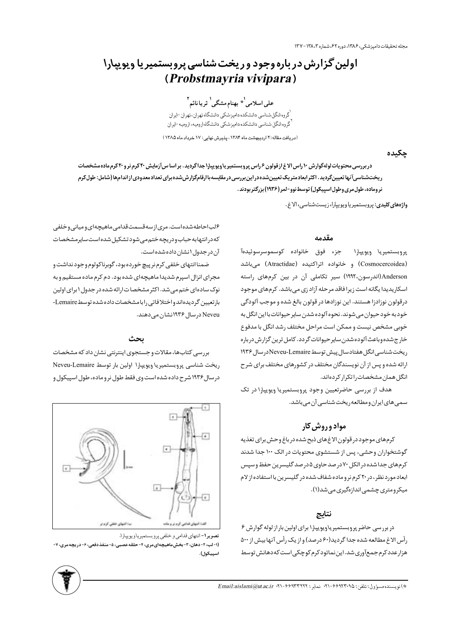مجله تحقيقات داميزشكي، ١٣٨۶، دوره ۶۲، شماره ١٣٨،٣-١٣٧

# اولین گزارش در باره وجود و ریخت شناسی پروبستمیر یا ویویپارا (Probstmayria vivipara)

على اسلامى<sup>\</sup>\* بهنام مشگى<sup>\</sup> ثريا نائم<sup>٢</sup>

گروه انگل شناسی دانشکده دامپزشکی دانشگاه تهران،تهران -ایران <sup>1</sup>گروه انگل شناسی دانشکده دامپزشکی دانشگاه ارومیه، ارومیه -ایران

(دریافت مقاله: ٢ اردیبهشت ماه ١٣٨۴، پذیرش نهایی: ١٧ خرداد ماه ١٣٨۵)

چکیده

دربررسی محتویات لولهگوارش ۱۰ راس الاغ ازقولون ۶ راس پروبستمیریاویویپارا جداگردید. بر اسا سآزمایش ۲۰ کرم نرو ۲۰ کرم ماده مشخصات ریختشناسیآنها تعیینگردید. اکثر ابعادمتریک تعیینشده در این بررسی در مقایسه با ارقامگزارش شده برای تعداد معدودی از اندامها (شامل: طول کرم نروماده، طول مری وطول اسپیکول) توسط نوو-لمر (۱۹۳۶) بزرگتر بودند .

واژههای کلیدی: پروبستمیر یاویویپارا، زیست شناسی، الاغ.

#### مقدمه

پروبستميريا ويويپارا جزء فوق خانواده كوسموسرسوئيدهآ (Cosmocercoidea) و خانواده اتراكتيده (Atractidae) مىباشد (اندرسون،١٩٩٢) سير تكاملي آن در بين كرمهاي راسته اسکاریدیدا یگانه است زیرا فاقد مرحله آزاد زی میباشد. کرمهای موجود درقولون نوزادزا هستند. این نوزادها در قولون بالغ شده و موجب آلودگی خودبه خود حیوان می شوند. نحوه آلوده شدن سایر حیوانات با این انگل به خوبی مشخص نیست و ممکن است مراحل مختلف رشد انگل با مدفوع خارج شده وباعث آلوده شدن ساير حيوانات گردد. كامل ترين گزارش درباره ريخت شناسي انگل هفتادسال پيش توسط Neveu-Lemaireدرسال ۱۹۳۶ ارائه شده و پس از آن نویسندگان مختلف در کشورهای مختلف برای شرح انگل همان مشخصات را تکرار کردهاند.

هدف از بررسی حاضرتعیین وجود پروبستمیریا ویویپارا در تک سمی های ایران و مطالعه ریخت شناسی آن می باشد.

# مواد وروش کار

كرمهاى موجود در قولون الاغ هاى ذبح شده در باغ وحش براى تغذيه گوشتخواران وحشی، پس از شستشوی محتویات در الک ۱۰۰ جدا شدند کرمهای جدا شده در الکل ۷۰ در صد حاوی ۵ در صد گلیسرین حفظ و سپس ابعاد مورد نظر، در ٢٠ كرم نر و ماده شفاف شده در گليسرين با استفاده از لام میکرومتری چشمی اندازهگیری می شد(۱).

## نتايج

 $s$  در بررسی حاضر پروبستمیر یاویویپارا برای اولین بار از لوله گوارش رأس الاغ مطالعه شده جدا گرديد(۶۰ درصد) و از يک رأس آنها بيش از ۵۰۰ هزارعدد کرم جمعآوری شد. این نماتود کرم کوچکی است که دهانش توسط

۶ لب احاطه شده است. مری از سه قسمت قدامی ماهیچه ای و میانی و خلفی كەدرانتهابەحباب ودريچەختم مى شودتشكيل شدەاست سايرمشخصات آن در جدول انشان داده شده است.

ضمنا انتهاى خلفى كرم نر پيچ خورده بود، گوبرناكولوم وجود نداشت و مجرای انزال اسپرم شدیدا ماهیچهای شده بود. دم کرم ماده مستقیم و به نوک سادهای ختم می شد. اکثر مشخصات ارائه شده در جدول ۱ برای اولین بارتعيين گرديدهاندواختلافاتي رابامشخصات داده شده توسط Lemaire-Neveu درسال ۱۹۳۶ نشان می دهند.

#### ىحث

بررسی کتابها، مقالات و جستجوی اینترنتی نشان داد که مشخصات ریخت شناسی پروبستمیریا ویویپارا اولین بار توسط Neveu-Lemaire در سال ۱۹۳۶ شرح داده شده است وی فقط طول نر و ماده، طول اسپیکول و



تصويرا-انتهاى قدامي وخلفى پروبستميرياويويپارا. (1- لب، ۲- دهان، ۳- بخش ماهیچهای مری، ۴- حلقه عصبی، ۵- منفذ دفعی، ۶- در یچه مری، ۷-سييكول).

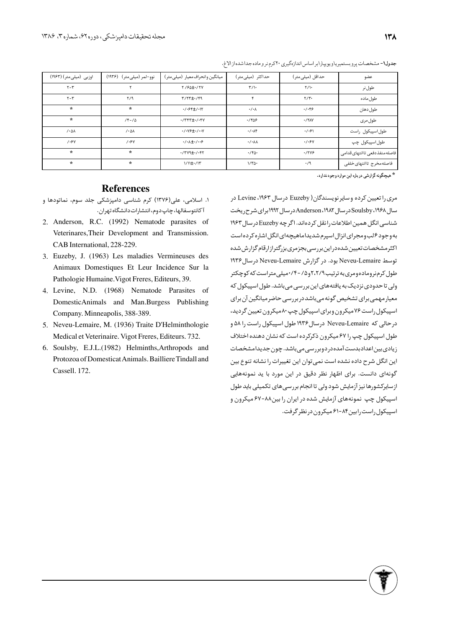| اوزبی (میلی متر) (۱۹۶۳)   | نوو-لمر (میلی متر)۔ (۱۹۳۶) | میانگین وانحراف معیار (میلی متر)                                    | حداکثر (میلیءنتر)     | حداقل (میلی متر ) | عضو                            |
|---------------------------|----------------------------|---------------------------------------------------------------------|-----------------------|-------------------|--------------------------------|
| $Y - Y$                   |                            | Y / 94 ± · / TV                                                     | $\Upsilon/\Upsilon$   | $Y/\mathcal{V}$   | طول نر                         |
| $Y - Y$                   | Y/9                        | $Y/YY + Y$                                                          | ۴                     | Y/Y               | طول ماده                       |
| $\star$                   | $\star$                    | $-1.995 \pm 1.17$                                                   | $\cdot/\cdot$         | .7.99             | طول دهان                       |
| $\star$                   | $Y - I\Delta$              | $\cdot$ /٣۴٣ $\pm$ $\cdot$ / $\cdot$ ۴۷                             | .7809                 | $\cdot$ /۲۸Y      | طول مری                        |
| $\lambda \cdot 0 \lambda$ | $/ \cdot \Delta \lambda$   | $\cdot$ / $\cdot$ $\vee$ $\div$ / $\cdot$ $\vee$                    | $\cdot$ / $\cdot$     | .7.91             | طول اسپیکول راست               |
| 1.54                      | 1.5V                       | $\cdot$ / $\cdot$ $\lambda$ $\pm$ $\cdot$ / $\cdot$ $\cdot$ $\cdot$ | $\cdot$ / $\cdot$ ۸۸  | .7.9V             | طول اسپیکول چپ                 |
| $\star$                   | $\star$                    | $\cdot$ /٣٧٩± $\cdot$ / $\cdot$ ۴٢                                  | $\cdot$ /۴ $\Delta$ . | .7799             | فاصله منفذ دفعی تاانتهای قدامی |
| $\star$                   | $\star$                    | 1/11±·/1٣                                                           | $1/\tau\Delta$ .      | $\cdot$ /9        | فاصلهمخرج تاانتهاى خلفى        |

جدول1- مشخصات پرو بستميرياويويپارابر اساس اندازهگيري ٢٠كرم نر و ماده جداشدهاز الاغ.

### **References**

- ۱. اسلامی، علی(۱۳۷۶) کرم شناسی دامپزشکی جلد سوم، نماتودها و آ کانتوسفالها، چاپ دوم، انتشارات دانشگاه تهران.
- 2. Anderson, R.C. (1992) Nematode parasites of Veterinares,Their Development and Transmission. CAB International, 228-229.
- Euzeby, J. (1963) Les maladies Vermineuses des 3. Animaux Domestiques Et Leur Incidence Sur la Pathologie Humaine.Vigot Freres, Editeurs, 39.
- Levine, N.D. (1968) Nematode Parasites of 4. DomesticAnimals and Man.Burgess Publishing Company. Minneapolis, 388-389.
- 5. Neveu-Lemaire, M. (1936) Traite D'Helminthologie Medical et Veterinaire. Vigot Freres, Editeurs. 732.
- 6. Soulsby, E.J.L.(1982) Helminths, Arthropods and Protozoa of Domesticat Animals. Bailliere Tindall and Cassell. 172.

هیچگونه گزارشی در باره این موارد وجود ندارد.

مری را تعیین کرده و سایر نویسندگان( Euzeby در سال ۱۹۶۳، Levine در سال ۱۹۶۸، Soulsby در سال ۱۹۸۲، Anderson در سال ۱۹۹۲ برای شرح <sub>د</sub> یخت شناسی انگل همین اطلاعات را نقل کردهاند. اگر چه Euzeby در سال ۱۹۶۳ به و جود ۶ لب و مجرای انزال اسپرم شدیداماهیچهای انگل اشاره کرده است اکثرمشخصات تعیین شده در این بررسی بجزمری بزرگترازارقام گزارش شده توسط Neveu-Lemaire بود. در گزارش Neveu-Lemaire درسال ۱۹۳۶ طول کرم نروماده ومری به ترتیب۲،۲/۹ و ۰/۵-۰/۴ میلی متراست که کوچکتر ولی تا حدودی نزدیک به یافتههای این بررسی می باشد. طول اسپیکول که معیار مهمی برای تشخیص گونه میباشد در بررسی حاضر میانگین آن برای اسپیکول <sub>د</sub>است ۷۶ میکرون و برای اسپیکول چپ۸۰ میکرون تعیین گردید، در حالی که Neveu-Lemaire درسال ۱۹۳۶ طول اسپیکول راست را ۵۸ و طول اسپیکول چپ را ۶۷ میکرون ذکرکرده است که نشان دهنده اختلاف زیادی بین اعدادبدست آمده در دوبر <sub>ز</sub> سے مے باشد. چون جدیدامشخصات این انگل شرح داده نشده است نمی توان این تغییرات را نشانه تنوع بین گونهای دانست. برای اظهار نظر دقیق در این مورد با ید نمونههایی از سایرکشورها نیز آزمایش شود ولی تا انجام بررسی های تکمیلی باید طول اسپیکول چپ نمونههای آزمایش شده در ایران را بین۸۸-۶۷ میکرون و اسپیکول راست رابین۸۴-۶۱ میکرون درنظر گرفت.